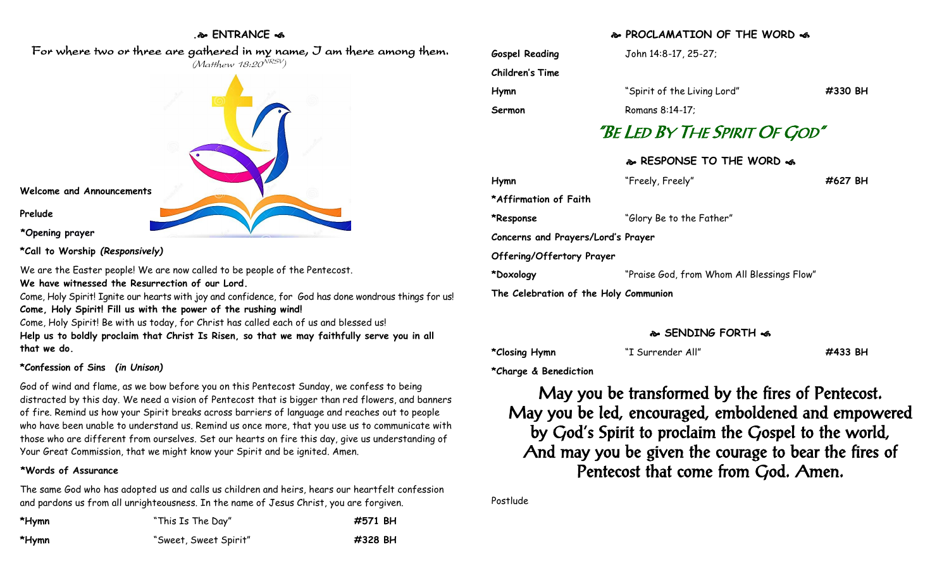# **. ENTRANCE**



**Welcome and Announcements Prelude \*Opening prayer**

**\*Call to Worship** *(Responsively)*

We are the Easter people! We are now called to be people of the Pentecost. **We have witnessed the Resurrection of our Lord.**

Come, Holy Spirit! Ignite our hearts with joy and confidence, for God has done wondrous things for us! **Come, Holy Spirit! Fill us with the power of the rushing wind!**

Come, Holy Spirit! Be with us today, for Christ has called each of us and blessed us! **Help us to boldly proclaim that Christ Is Risen, so that we may faithfully serve you in all that we do.**

## **\*Confession of Sins** *(in Unison)*

God of wind and flame, as we bow before you on this Pentecost Sunday, we confess to being distracted by this day. We need a vision of Pentecost that is bigger than red flowers, and banners of fire. Remind us how your Spirit breaks across barriers of language and reaches out to people who have been unable to understand us. Remind us once more, that you use us to communicate with those who are different from ourselves. Set our hearts on fire this day, give us understanding of Your Great Commission, that we might know your Spirit and be ignited. Amen.

#### **\*Words of Assurance**

The same God who has adopted us and calls us children and heirs, hears our heartfelt confession and pardons us from all unrighteousness. In the name of Jesus Christ, you are forgiven.

| *Hymn | "This Is The Day"     | #571 BH |
|-------|-----------------------|---------|
| *Hymn | "Sweet, Sweet Spirit" | #328 BH |

#### **PROCLAMATION OF THE WORD**

| <b>Gospel Reading</b>                 | John 14:8-17, 25-27;                       |         |
|---------------------------------------|--------------------------------------------|---------|
| Children's Time                       |                                            |         |
| Hymn                                  | "Spirit of the Living Lord"                | #330 BH |
| Sermon                                | Romans 8:14-17;                            |         |
|                                       | "Be Led By The Spirit Of God"              |         |
|                                       | � RESPONSE TO THE WORD �                   |         |
| Hymn                                  | "Freely, Freely"                           | #627 BH |
| *Affirmation of Faith                 |                                            |         |
| *Response                             | "Glory Be to the Father"                   |         |
| Concerns and Prayers/Lord's Prayer    |                                            |         |
| Offering/Offertory Prayer             |                                            |         |
| *Doxology                             | "Praise God, from Whom All Blessings Flow" |         |
| The Celebration of the Holy Communion |                                            |         |

## **SENDING FORTH**

**\*Closing Hymn** "I Surrender All" **#433 BH**

**\*Charge & Benediction**

May you be transformed by the fires of Pentecost. May you be led, encouraged, emboldened and empowered by God's Spirit to proclaim the Gospel to the world, And may you be given the courage to bear the fires of Pentecost that come from God. Amen.

Postlude